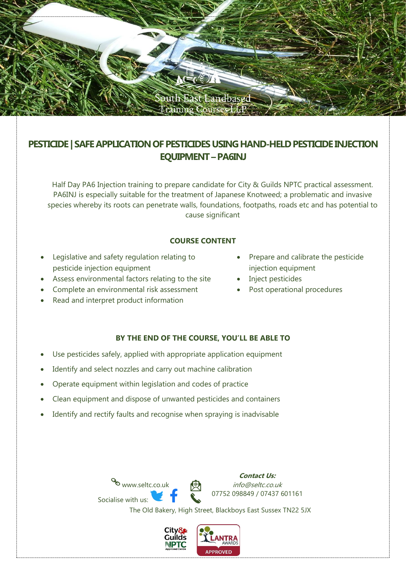

# **PESTICIDE | SAFE APPLICATION OF PESTICIDES USING HAND-HELD PESTICIDE INJECTION EQUIPMENT –PA6INJ**

Half Day PA6 Injection training to prepare candidate for City & Guilds NPTC practical assessment. PA6INJ is especially suitable for the treatment of Japanese Knotweed; a problematic and invasive species whereby its roots can penetrate walls, foundations, footpaths, roads etc and has potential to cause significant

## **COURSE CONTENT**

- Legislative and safety regulation relating to pesticide injection equipment
- Assess environmental factors relating to the site
- Complete an environmental risk assessment
- Read and interpret product information
- Prepare and calibrate the pesticide injection equipment
- Inject pesticides
- Post operational procedures

## **BY THE END OF THE COURSE, YOU'LL BE ABLE TO**

- Use pesticides safely, applied with appropriate application equipment
- Identify and select nozzles and carry out machine calibration
- Operate equipment within legislation and codes of practice
- Clean equipment and dispose of unwanted pesticides and containers
- Identify and rectify faults and recognise when spraying is inadvisable